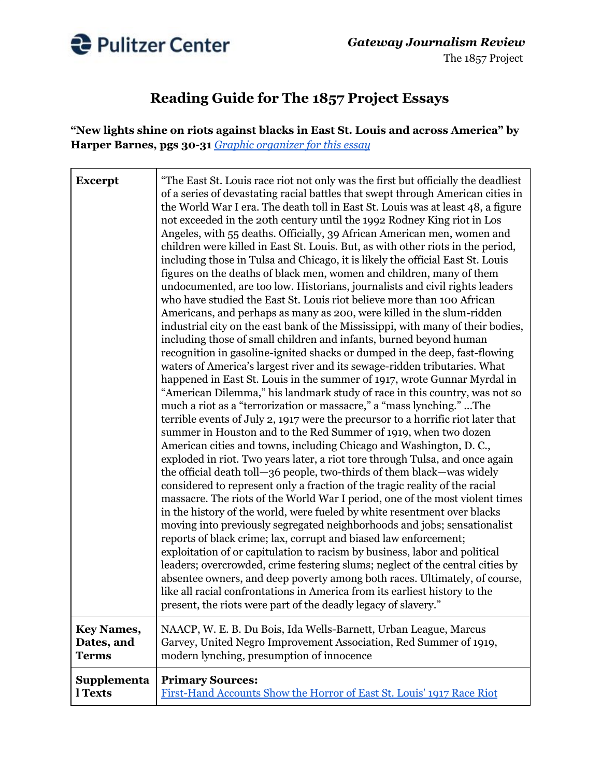

## **Reading Guide for The 1857 Project Essays**

**"New lights shine on riots against blacks in East St. Louis and across America" by Harper Barnes, pgs 30-31** *Graphic [organizer](https://pulitzercenter.org/sites/default/files/graphic_organizer_new_lights_shine_on_riots_against_blacks.pdf) for this essay*

| <b>Excerpt</b>    | "The East St. Louis race riot not only was the first but officially the deadliest<br>of a series of devastating racial battles that swept through American cities in<br>the World War I era. The death toll in East St. Louis was at least 48, a figure<br>not exceeded in the 20th century until the 1992 Rodney King riot in Los<br>Angeles, with 55 deaths. Officially, 39 African American men, women and<br>children were killed in East St. Louis. But, as with other riots in the period,<br>including those in Tulsa and Chicago, it is likely the official East St. Louis<br>figures on the deaths of black men, women and children, many of them<br>undocumented, are too low. Historians, journalists and civil rights leaders<br>who have studied the East St. Louis riot believe more than 100 African<br>Americans, and perhaps as many as 200, were killed in the slum-ridden<br>industrial city on the east bank of the Mississippi, with many of their bodies,<br>including those of small children and infants, burned beyond human<br>recognition in gasoline-ignited shacks or dumped in the deep, fast-flowing<br>waters of America's largest river and its sewage-ridden tributaries. What<br>happened in East St. Louis in the summer of 1917, wrote Gunnar Myrdal in<br>"American Dilemma," his landmark study of race in this country, was not so<br>much a riot as a "terrorization or massacre," a "mass lynching." The<br>terrible events of July 2, 1917 were the precursor to a horrific riot later that<br>summer in Houston and to the Red Summer of 1919, when two dozen<br>American cities and towns, including Chicago and Washington, D.C.,<br>exploded in riot. Two years later, a riot tore through Tulsa, and once again<br>the official death toll—36 people, two-thirds of them black—was widely<br>considered to represent only a fraction of the tragic reality of the racial<br>massacre. The riots of the World War I period, one of the most violent times<br>in the history of the world, were fueled by white resentment over blacks<br>moving into previously segregated neighborhoods and jobs; sensationalist<br>reports of black crime; lax, corrupt and biased law enforcement;<br>exploitation of or capitulation to racism by business, labor and political<br>leaders; overcrowded, crime festering slums; neglect of the central cities by<br>absentee owners, and deep poverty among both races. Ultimately, of course,<br>like all racial confrontations in America from its earliest history to the<br>present, the riots were part of the deadly legacy of slavery." |
|-------------------|-----------------------------------------------------------------------------------------------------------------------------------------------------------------------------------------------------------------------------------------------------------------------------------------------------------------------------------------------------------------------------------------------------------------------------------------------------------------------------------------------------------------------------------------------------------------------------------------------------------------------------------------------------------------------------------------------------------------------------------------------------------------------------------------------------------------------------------------------------------------------------------------------------------------------------------------------------------------------------------------------------------------------------------------------------------------------------------------------------------------------------------------------------------------------------------------------------------------------------------------------------------------------------------------------------------------------------------------------------------------------------------------------------------------------------------------------------------------------------------------------------------------------------------------------------------------------------------------------------------------------------------------------------------------------------------------------------------------------------------------------------------------------------------------------------------------------------------------------------------------------------------------------------------------------------------------------------------------------------------------------------------------------------------------------------------------------------------------------------------------------------------------------------------------------------------------------------------------------------------------------------------------------------------------------------------------------------------------------------------------------------------------------------------------------------------------------------------------------------------------------------------------------------------------------------------------------------------------------------------------------------------|
| <b>Key Names,</b> | NAACP, W. E. B. Du Bois, Ida Wells-Barnett, Urban League, Marcus                                                                                                                                                                                                                                                                                                                                                                                                                                                                                                                                                                                                                                                                                                                                                                                                                                                                                                                                                                                                                                                                                                                                                                                                                                                                                                                                                                                                                                                                                                                                                                                                                                                                                                                                                                                                                                                                                                                                                                                                                                                                                                                                                                                                                                                                                                                                                                                                                                                                                                                                                                  |
| Dates, and        | Garvey, United Negro Improvement Association, Red Summer of 1919,                                                                                                                                                                                                                                                                                                                                                                                                                                                                                                                                                                                                                                                                                                                                                                                                                                                                                                                                                                                                                                                                                                                                                                                                                                                                                                                                                                                                                                                                                                                                                                                                                                                                                                                                                                                                                                                                                                                                                                                                                                                                                                                                                                                                                                                                                                                                                                                                                                                                                                                                                                 |
| <b>Terms</b>      | modern lynching, presumption of innocence                                                                                                                                                                                                                                                                                                                                                                                                                                                                                                                                                                                                                                                                                                                                                                                                                                                                                                                                                                                                                                                                                                                                                                                                                                                                                                                                                                                                                                                                                                                                                                                                                                                                                                                                                                                                                                                                                                                                                                                                                                                                                                                                                                                                                                                                                                                                                                                                                                                                                                                                                                                         |
| Supplementa       | <b>Primary Sources:</b>                                                                                                                                                                                                                                                                                                                                                                                                                                                                                                                                                                                                                                                                                                                                                                                                                                                                                                                                                                                                                                                                                                                                                                                                                                                                                                                                                                                                                                                                                                                                                                                                                                                                                                                                                                                                                                                                                                                                                                                                                                                                                                                                                                                                                                                                                                                                                                                                                                                                                                                                                                                                           |
| l Texts           | First-Hand Accounts Show the Horror of East St. Louis' 1917 Race Riot                                                                                                                                                                                                                                                                                                                                                                                                                                                                                                                                                                                                                                                                                                                                                                                                                                                                                                                                                                                                                                                                                                                                                                                                                                                                                                                                                                                                                                                                                                                                                                                                                                                                                                                                                                                                                                                                                                                                                                                                                                                                                                                                                                                                                                                                                                                                                                                                                                                                                                                                                             |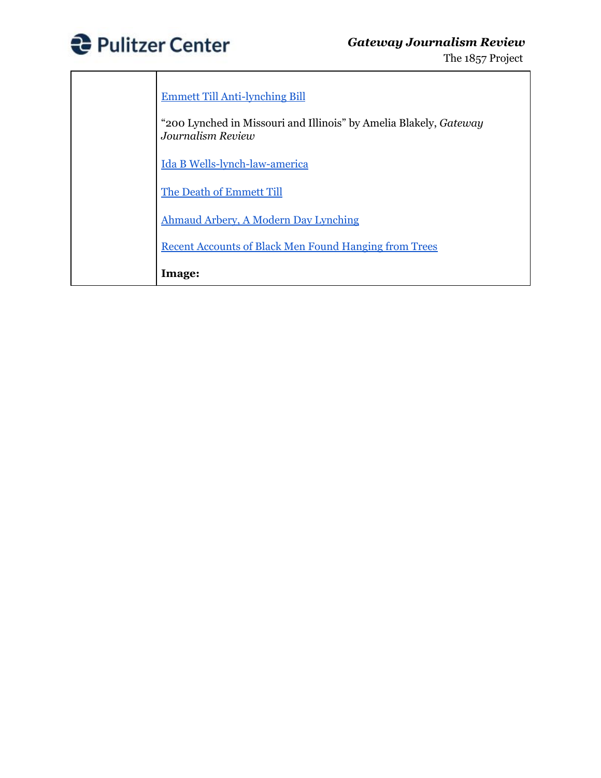

| <b>Emmett Till Anti-lynching Bill</b>                                                         |
|-----------------------------------------------------------------------------------------------|
| "200 Lynched in Missouri and Illinois" by Amelia Blakely, <i>Gateway</i><br>Journalism Review |
| Ida B Wells-lynch-law-america                                                                 |
| The Death of Emmett Till                                                                      |
| Ahmaud Arbery, A Modern Day Lynching                                                          |
| <b>Recent Accounts of Black Men Found Hanging from Trees</b>                                  |
| Image:                                                                                        |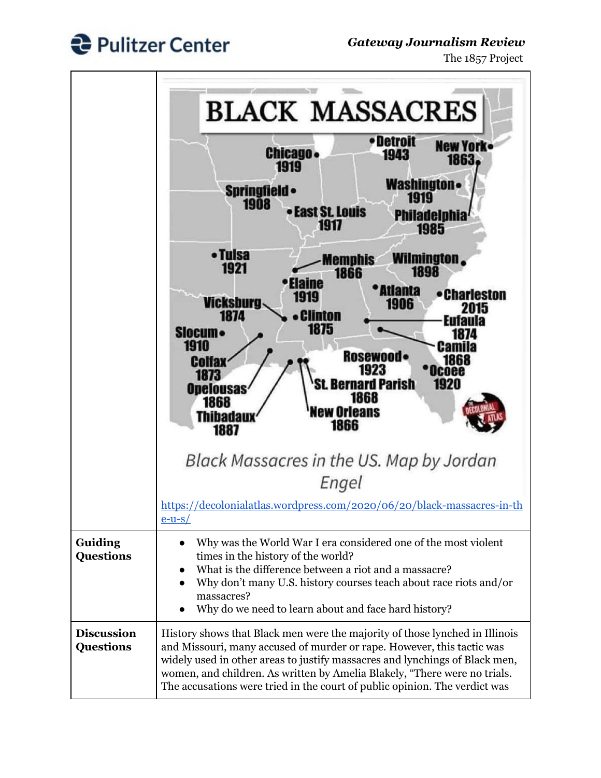

## *Gateway Journalism Review*

The 1857 Project